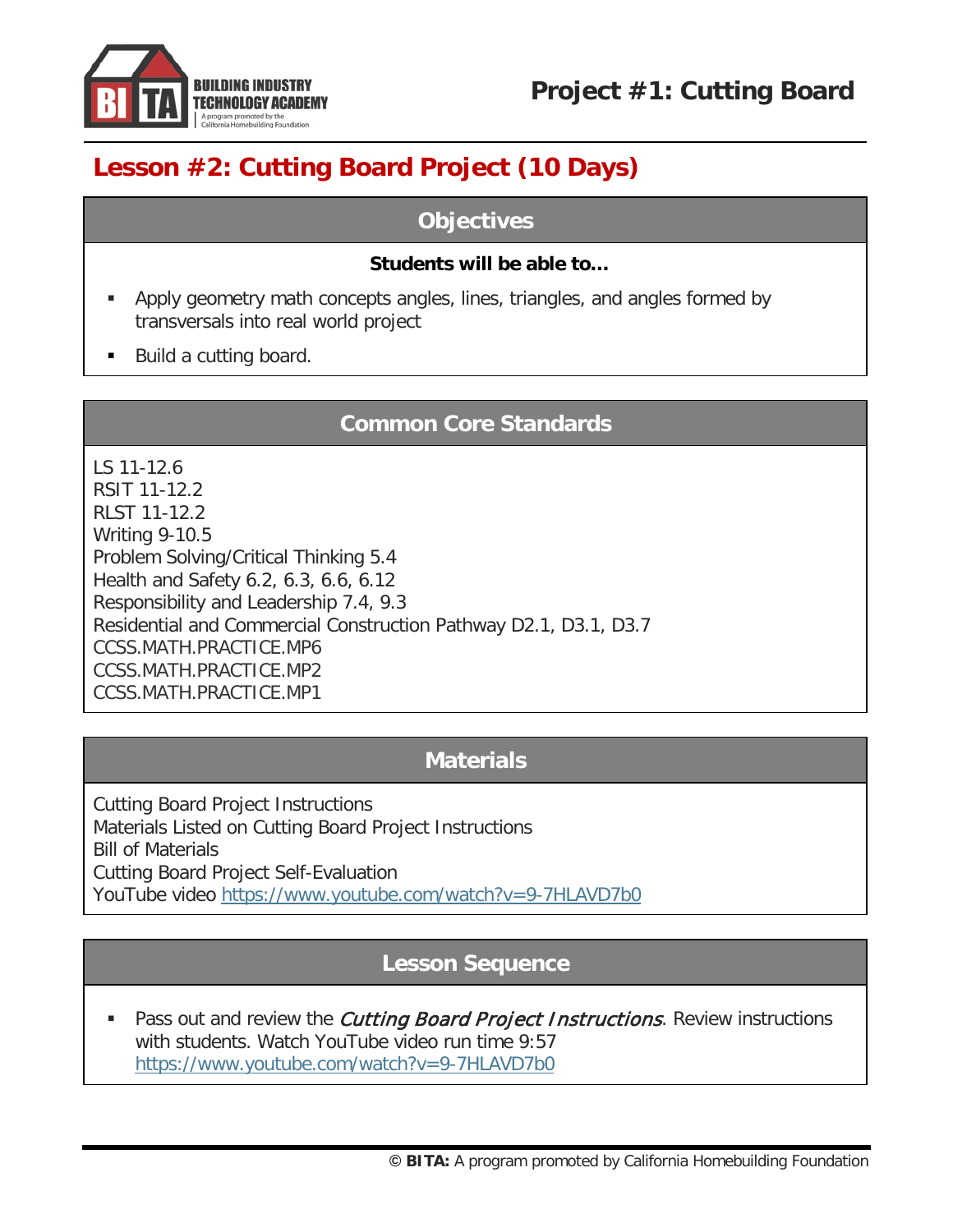

**Project #1: Cutting Board**

# **Lesson #2: Cutting Board Project (10 Days)**

### **Objectives**

#### **Students will be able to…**

- Apply geometry math concepts angles, lines, triangles, and angles formed by transversals into real world project
- Build a cutting board.

### **Common Core Standards**

LS 11-12.6 RSIT 11-12.2 RLST 11-12.2 Writing 9-10.5 Problem Solving/Critical Thinking 5.4 Health and Safety 6.2, 6.3, 6.6, 6.12 Responsibility and Leadership 7.4, 9.3 Residential and Commercial Construction Pathway D2.1, D3.1, D3.7 [CCSS.MATH.PRACTICE.MP6](http://www.corestandards.org/Math/Practice/MP6/) [CCSS.MATH.PRACTICE.MP2](http://www.corestandards.org/Math/Practice/MP2/) [CCSS.MATH.PRACTICE.MP1](http://www.corestandards.org/Math/Practice/MP1/)

# **Materials**

Cutting Board Project Instructions Materials Listed on Cutting Board Project Instructions Bill of Materials Cutting Board Project Self-Evaluation YouTube video<https://www.youtube.com/watch?v=9-7HLAVD7b0>

# **Lesson Sequence**

Pass out and review the *Cutting Board Project Instructions*. Review instructions with students. Watch YouTube video run time 9:57 <https://www.youtube.com/watch?v=9-7HLAVD7b0>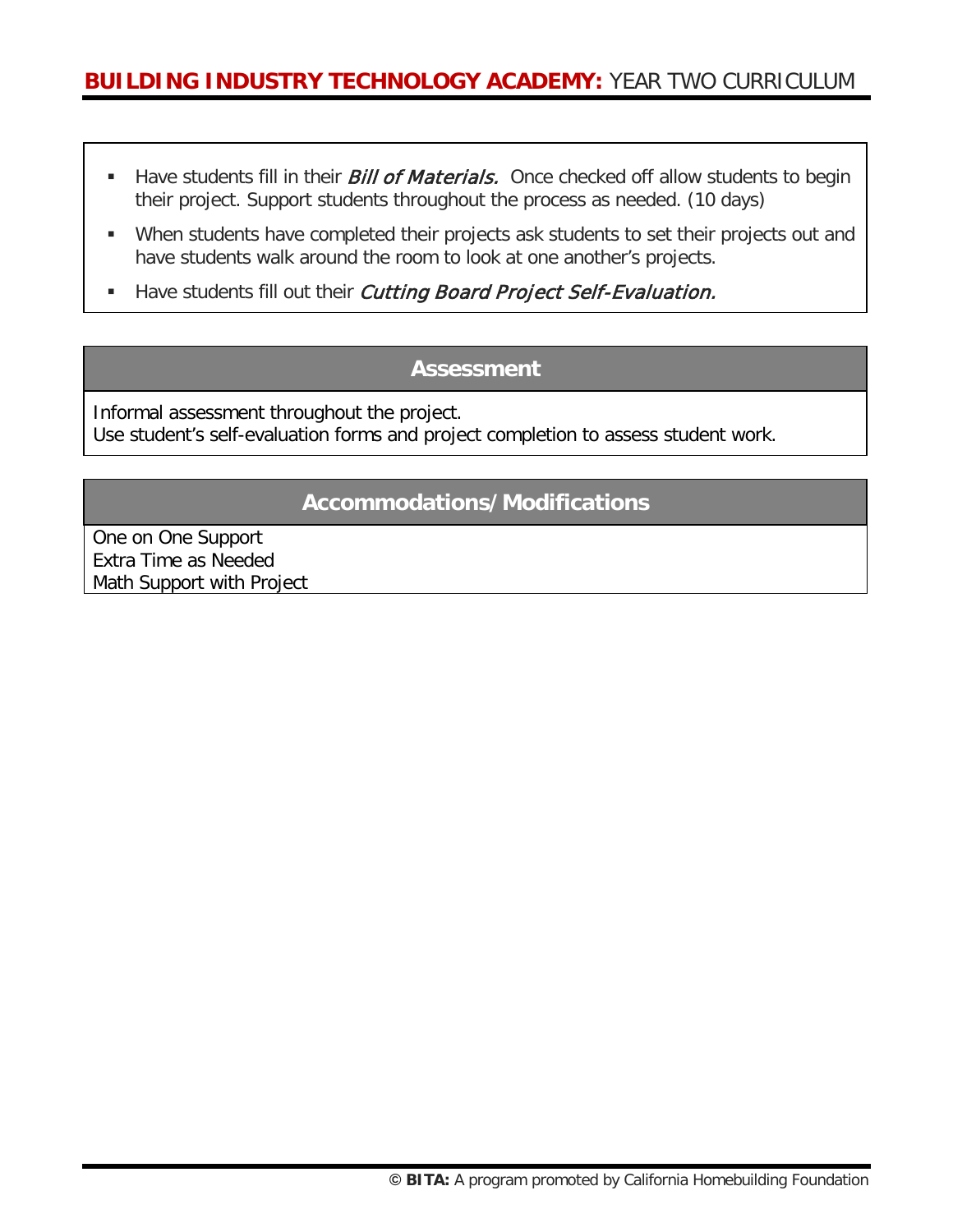- Have students fill in their *Bill of Materials*. Once checked off allow students to begin their project. Support students throughout the process as needed. (10 days)
- When students have completed their projects ask students to set their projects out and have students walk around the room to look at one another's projects.
- Have students fill out their Cutting Board Project Self-Evaluation.

### **Assessment**

Informal assessment throughout the project. Use student's self-evaluation forms and project completion to assess student work.

### **Accommodations/Modifications**

One on One Support Extra Time as Needed Math Support with Project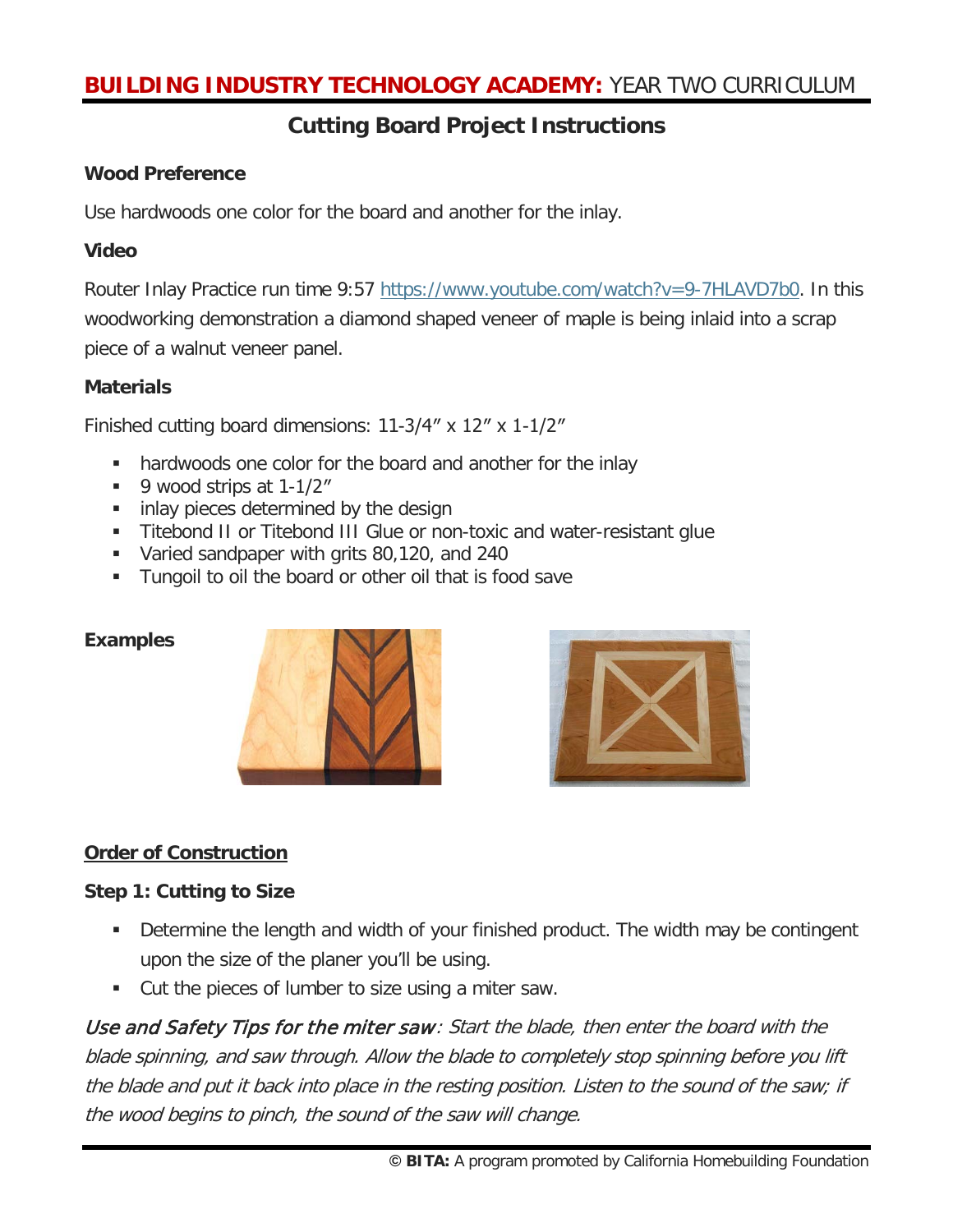## **Cutting Board Project Instructions**

#### **Wood Preference**

Use [hardwoods](http://en.wikipedia.org/wiki/Hardwood) one color for the board and another for the inlay.

#### **Video**

Router Inlay Practice run time 9:57 [https://www.youtube.com/watch?v=9-7HLAVD7b0.](https://www.youtube.com/watch?v=9-7HLAVD7b0) In this woodworking demonstration a diamond shaped veneer of maple is being inlaid into a scrap piece of a walnut veneer panel.

#### **Materials**

Finished cutting board dimensions: 11-3/4″ x 12″ x 1-1/2″

- hardwoods one color for the board and another for the inlay
- $\blacksquare$  9 wood strips at 1-1/2"
- **inlay pieces determined by the design**
- Titebond II or Titebond III Glue or non-toxic and water-resistant glue
- **Varied sandpaper with grits 80,120, and 240**
- **Tungoil to oil the board or other oil that is food save**

#### **Examples**





### **Order of Construction**

#### **Step 1: Cutting to Size**

- Determine the length and width of your finished product. The width may be contingent upon the size of the planer you'll be using.
- **Cut the pieces of lumber to size using a miter saw.**

Use and Safety Tips for the miter saw: Start the blade, then enter the board with the blade spinning, and saw through. Allow the blade to completely stop spinning before you lift the blade and put it back into place in the resting position. Listen to the sound of the saw; if the wood begins to pinch, the sound of the saw will change.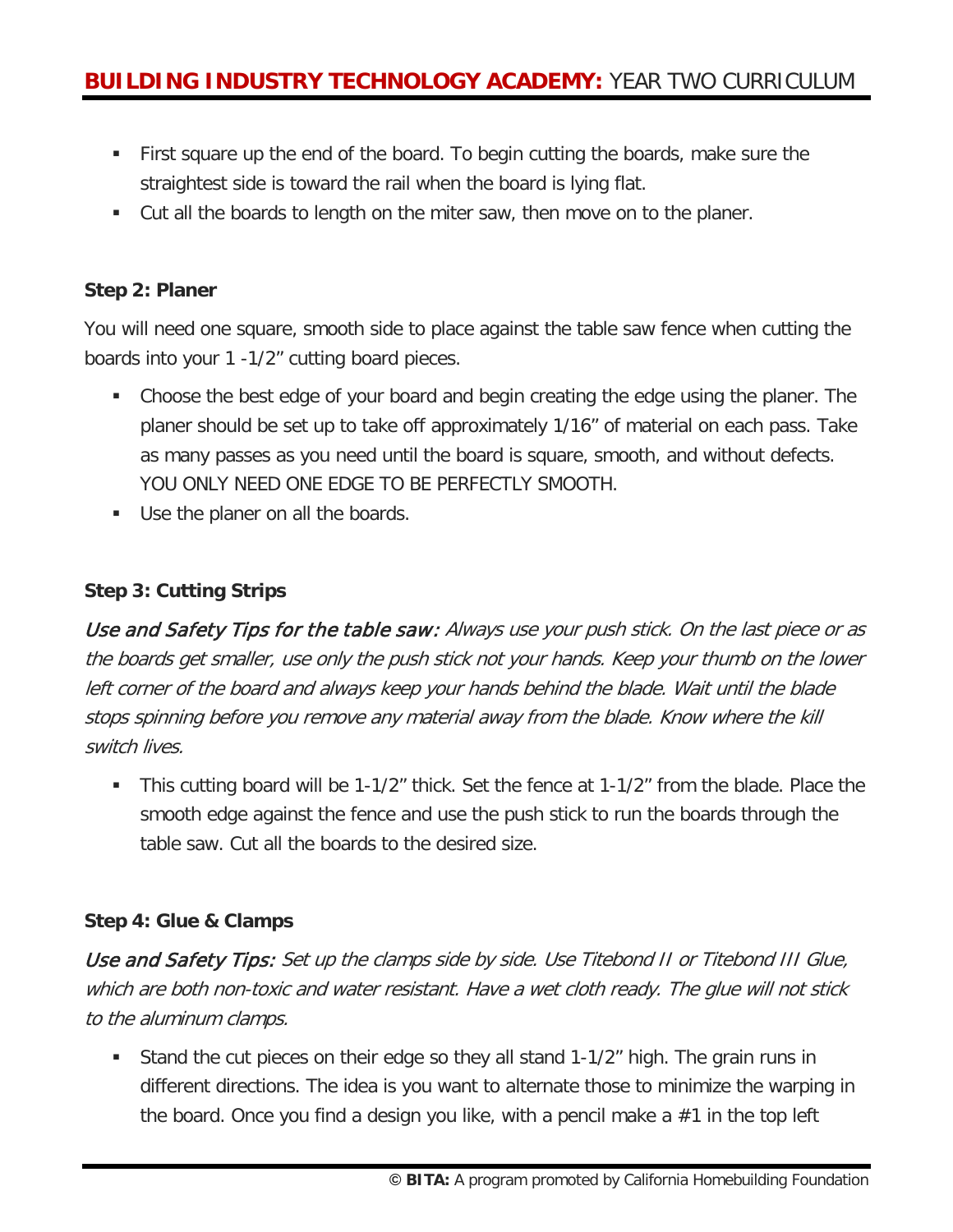- First square up the end of the board. To begin cutting the boards, make sure the straightest side is toward the rail when the board is lying flat.
- Cut all the boards to length on the miter saw, then move on to the planer.

#### **Step 2: Planer**

You will need one square, smooth side to place against the table saw fence when cutting the boards into your 1 -1/2" cutting board pieces.

- Choose the best edge of your board and begin creating the edge using the planer. The planer should be set up to take off approximately 1/16" of material on each pass. Take as many passes as you need until the board is square, smooth, and without defects. YOU ONLY NEED ONE EDGE TO BE PERFECTLY SMOOTH.
- Use the planer on all the boards.

#### **Step 3: Cutting Strips**

Use and Safety Tips for the table saw: Always use your push stick. On the last piece or as the boards get smaller, use only the push stick not your hands. Keep your thumb on the lower left corner of the board and always keep your hands behind the blade. Wait until the blade stops spinning before you remove any material away from the blade. Know where the kill switch lives.

 This cutting board will be 1-1/2" thick. Set the fence at 1-1/2" from the blade. Place the smooth edge against the fence and use the push stick to run the boards through the table saw. Cut all the boards to the desired size.

#### **Step 4: Glue & Clamps**

Use and Safety Tips: Set up the clamps side by side. Use Titebond II or Titebond III Glue, which are both non-toxic and water resistant. Have a wet cloth ready. The glue will not stick to the aluminum clamps.

 Stand the cut pieces on their edge so they all stand 1-1/2" high. The grain runs in different directions. The idea is you want to alternate those to minimize the warping in the board. Once you find a design you like, with a pencil make a  $#1$  in the top left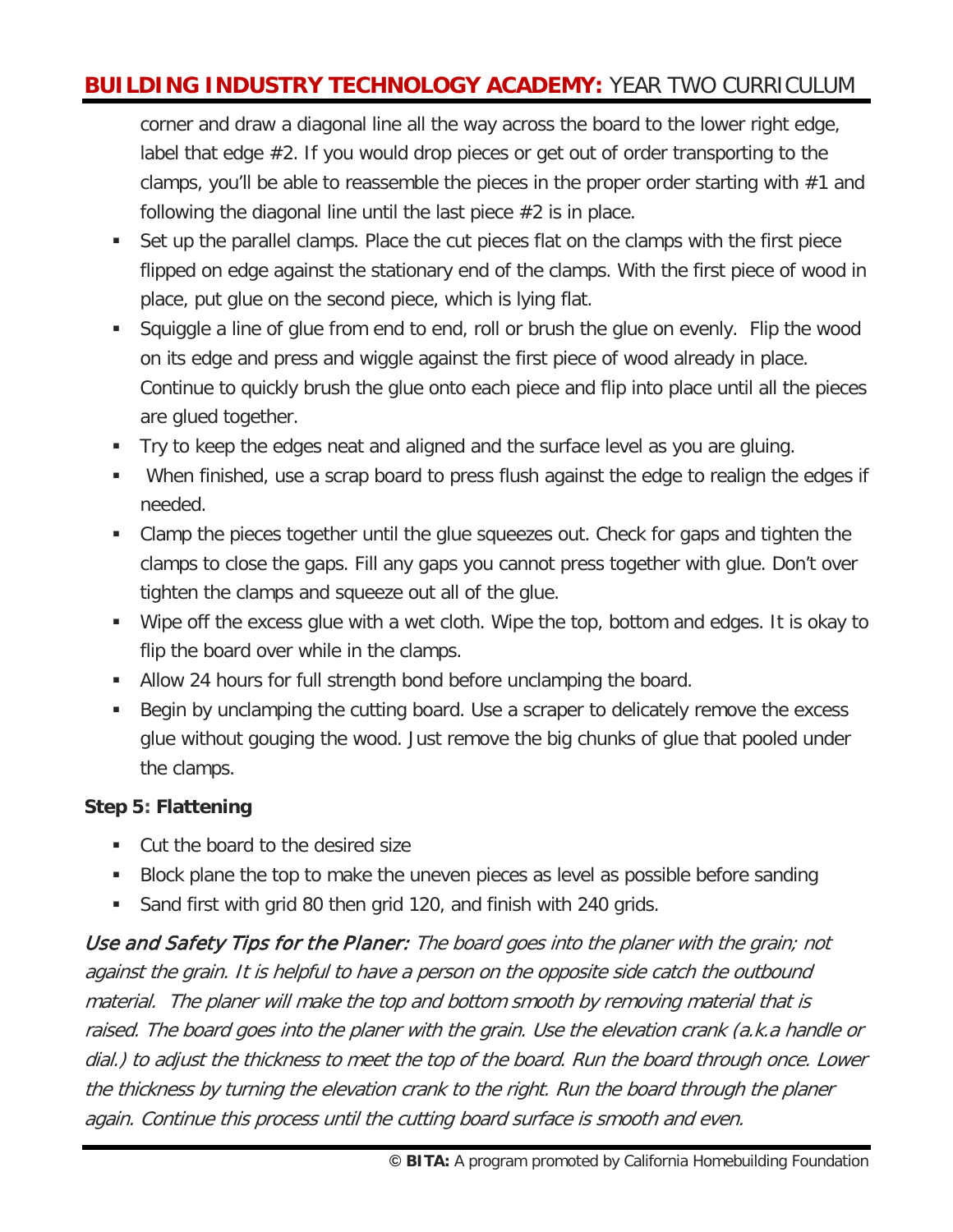corner and draw a diagonal line all the way across the board to the lower right edge, label that edge #2. If you would drop pieces or get out of order transporting to the clamps, you'll be able to reassemble the pieces in the proper order starting with #1 and following the diagonal line until the last piece  $#2$  is in place.

- Set up the parallel clamps. Place the cut pieces flat on the clamps with the first piece flipped on edge against the stationary end of the clamps. With the first piece of wood in place, put glue on the second piece, which is lying flat.
- Squiggle a line of glue from end to end, roll or brush the glue on evenly. Flip the wood on its edge and press and wiggle against the first piece of wood already in place. Continue to quickly brush the glue onto each piece and flip into place until all the pieces are glued together.
- Try to keep the edges neat and aligned and the surface level as you are gluing.
- When finished, use a scrap board to press flush against the edge to realign the edges if needed.
- Clamp the pieces together until the glue squeezes out. Check for gaps and tighten the clamps to close the gaps. Fill any gaps you cannot press together with glue. Don't over tighten the clamps and squeeze out all of the glue.
- Wipe off the excess glue with a wet cloth. Wipe the top, bottom and edges. It is okay to flip the board over while in the clamps.
- Allow 24 hours for full strength bond before unclamping the board.
- Begin by unclamping the cutting board. Use a scraper to delicately remove the excess glue without gouging the wood. Just remove the big chunks of glue that pooled under the clamps.

### **Step 5: Flattening**

- Cut the board to the desired size
- Block plane the top to make the uneven pieces as level as possible before sanding
- **Sand first with grid 80 then grid 120, and finish with 240 grids.**

Use and Safety Tips for the Planer: The board goes into the planer with the grain; not against the grain. It is helpful to have a person on the opposite side catch the outbound material. The planer will make the top and bottom smooth by removing material that is raised. The board goes into the planer with the grain. Use the elevation crank (a.k.a handle or dial.) to adjust the thickness to meet the top of the board. Run the board through once. Lower the thickness by turning the elevation crank to the right. Run the board through the planer again. Continue this process until the cutting board surface is smooth and even.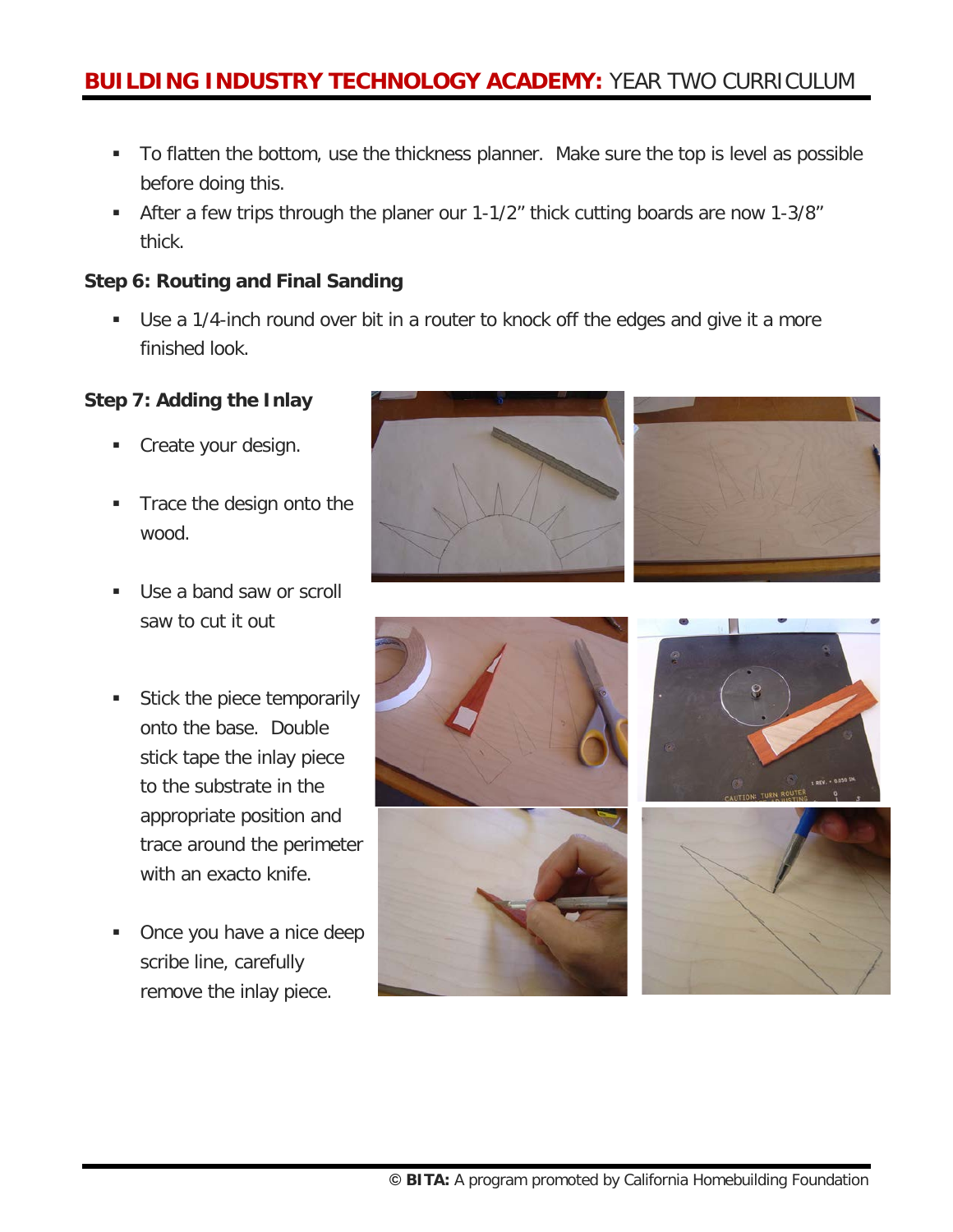- To flatten the bottom, use the thickness planner. Make sure the top is level as possible before doing this.
- After a few trips through the planer our 1-1/2" thick cutting boards are now 1-3/8" thick.

#### **Step 6: Routing and Final Sanding**

 Use a 1/4-inch round over bit in a router to knock off the edges and give it a more finished look.

#### **Step 7: Adding the Inlay**

- Create your design.
- Trace the design onto the wood.
- Use a band saw or scroll saw to cut it out
- Stick the piece temporarily onto the base. Double stick tape the inlay piece to the substrate in the appropriate position and trace around the perimeter with an exacto knife.
- Once you have a nice deep scribe line, carefully remove the inlay piece.





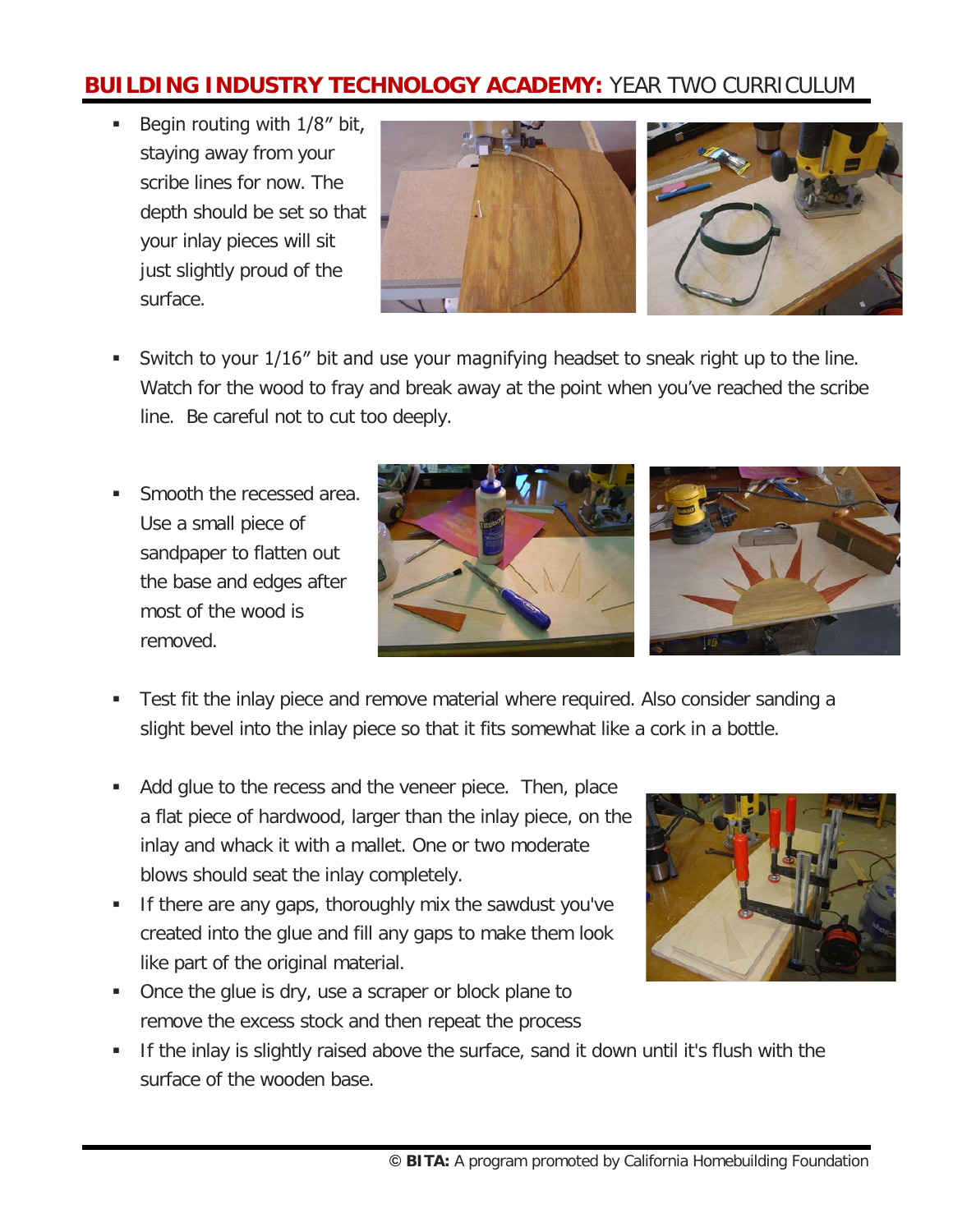Begin routing with  $1/8$ " bit, staying away from your scribe lines for now. The depth should be set so that your inlay pieces will sit just slightly proud of the surface.



- Switch to your 1/16″ bit and use your magnifying headset to sneak right up to the line. Watch for the wood to fray and break away at the point when you've reached the scribe line. Be careful not to cut too deeply.
- Smooth the recessed area. Use a small piece of sandpaper to flatten out the base and edges after most of the wood is removed.



- Test fit the inlay piece and remove material where required. Also consider sanding a slight bevel into the inlay piece so that it fits somewhat like a cork in a bottle.
- Add glue to the recess and the veneer piece. Then, place a flat piece of hardwood, larger than the inlay piece, on the inlay and whack it with a mallet. One or two moderate blows should seat the inlay completely.
- **If there are any gaps, thoroughly mix the sawdust you've** created into the glue and fill any gaps to make them look like part of the original material.
- Once the glue is dry, use a scraper or block plane to remove the excess stock and then repeat the process



 If the inlay is slightly raised above the surface, sand it down until it's flush with the surface of the wooden base.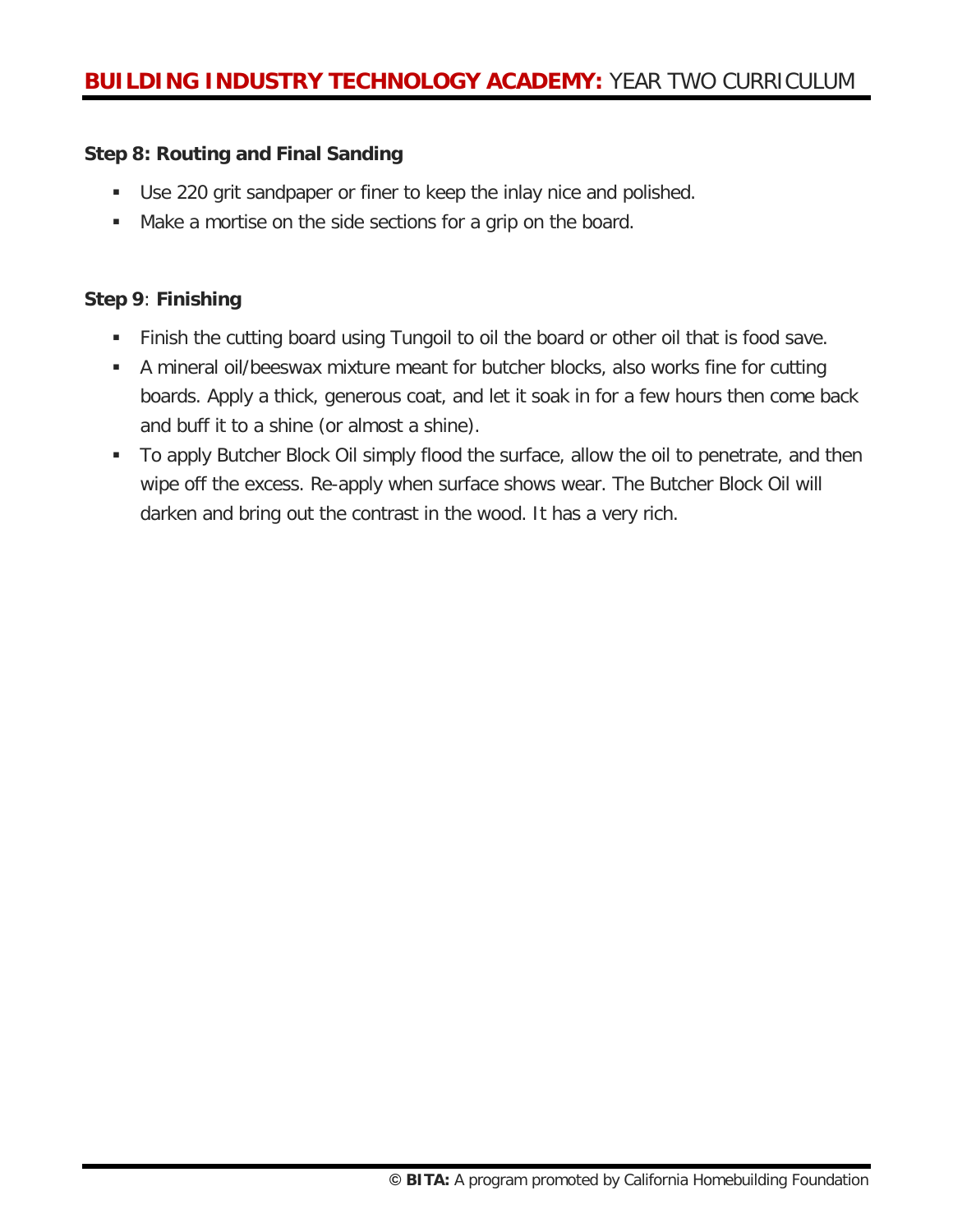#### **Step 8: Routing and Final Sanding**

- Use 220 grit sandpaper or finer to keep the inlay nice and polished.
- Make a mortise on the side sections for a grip on the board.

#### **Step 9**: **Finishing**

- Finish the cutting board using Tungoil to oil the board or other oil that is food save.
- A mineral oil/beeswax mixture meant for butcher blocks, also works fine for cutting boards. Apply a thick, generous coat, and let it soak in for a few hours then come back and buff it to a shine (or almost a shine).
- To apply Butcher Block Oil simply flood the surface, allow the oil to penetrate, and then wipe off the excess. Re-apply when surface shows wear. The Butcher Block Oil will darken and bring out the contrast in the wood. It has a very rich.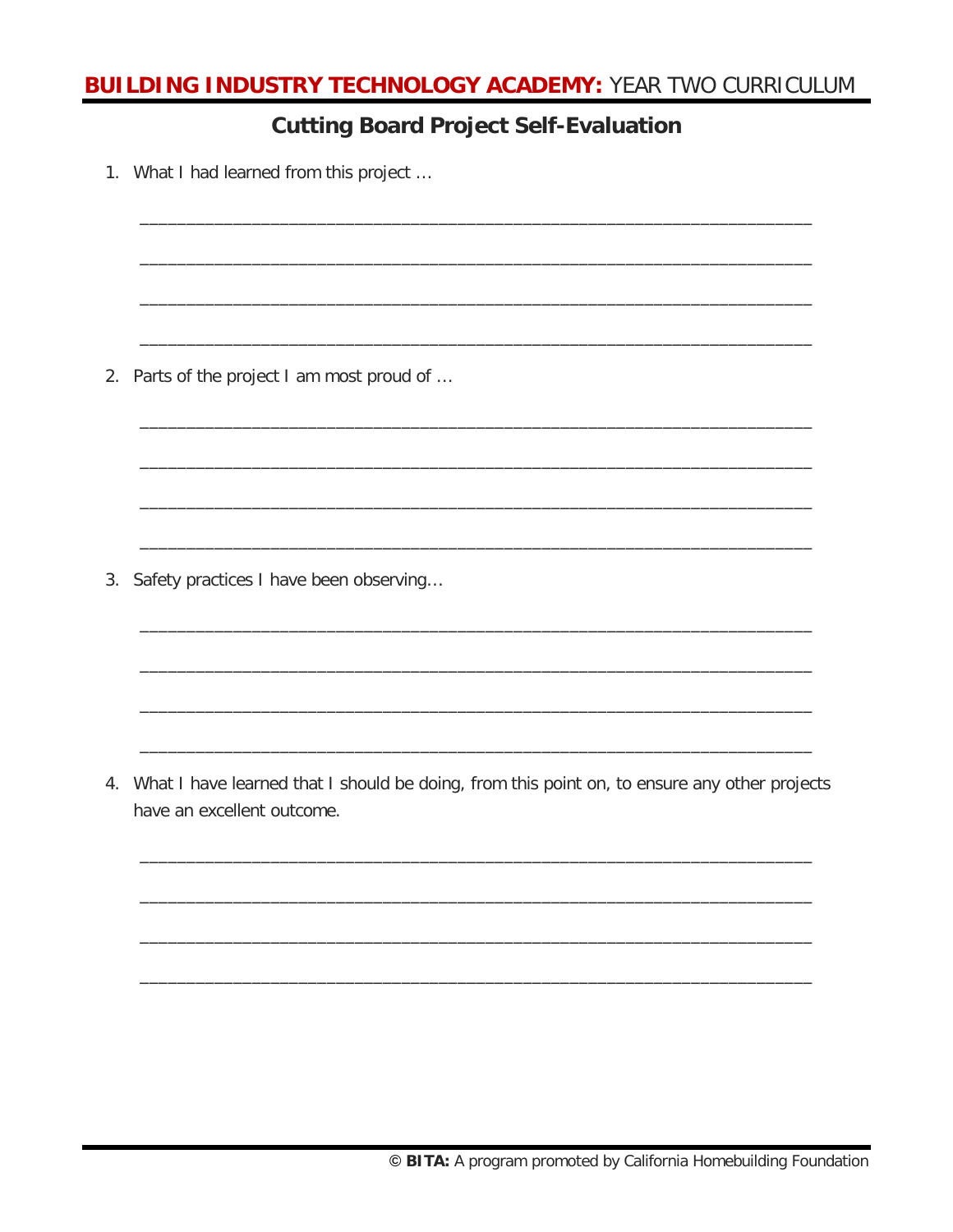### **Cutting Board Project Self-Evaluation**

1. What I had learned from this project ...

2. Parts of the project I am most proud of ...

3. Safety practices I have been observing...

4. What I have learned that I should be doing, from this point on, to ensure any other projects have an excellent outcome.